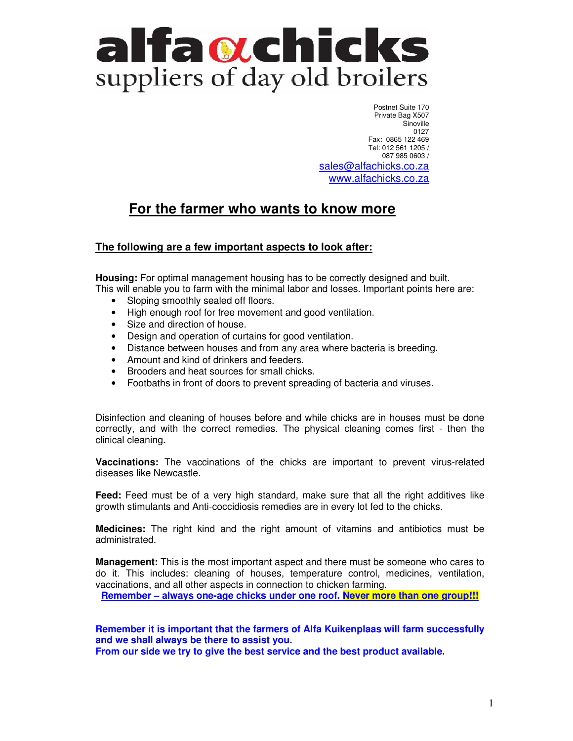# alfaotchicks suppliers of day old broilers

 Postnet Suite 170 Private Bag X507 **Sinoville** 0127 Fax: 0865 122 469 Tel: 012 561 1205 / 087 985 0603 / sales@alfachicks.co.za www.alfachicks.co.za

# **For the farmer who wants to know more**

#### **The following are a few important aspects to look after:**

**Housing:** For optimal management housing has to be correctly designed and built. This will enable you to farm with the minimal labor and losses. Important points here are:

- Sloping smoothly sealed off floors.
- High enough roof for free movement and good ventilation.
- Size and direction of house.
- Design and operation of curtains for good ventilation.
- Distance between houses and from any area where bacteria is breeding.
- Amount and kind of drinkers and feeders.
- Brooders and heat sources for small chicks.
- Footbaths in front of doors to prevent spreading of bacteria and viruses.

Disinfection and cleaning of houses before and while chicks are in houses must be done correctly, and with the correct remedies. The physical cleaning comes first - then the clinical cleaning.

**Vaccinations:** The vaccinations of the chicks are important to prevent virus-related diseases like Newcastle.

**Feed:** Feed must be of a very high standard, make sure that all the right additives like growth stimulants and Anti-coccidiosis remedies are in every lot fed to the chicks.

**Medicines:** The right kind and the right amount of vitamins and antibiotics must be administrated.

**Management:** This is the most important aspect and there must be someone who cares to do it. This includes: cleaning of houses, temperature control, medicines, ventilation, vaccinations, and all other aspects in connection to chicken farming.

**Remember – always one-age chicks under one roof. Never more than one group!!!**

**Remember it is important that the farmers of Alfa Kuikenplaas will farm successfully and we shall always be there to assist you.** 

**From our side we try to give the best service and the best product available.**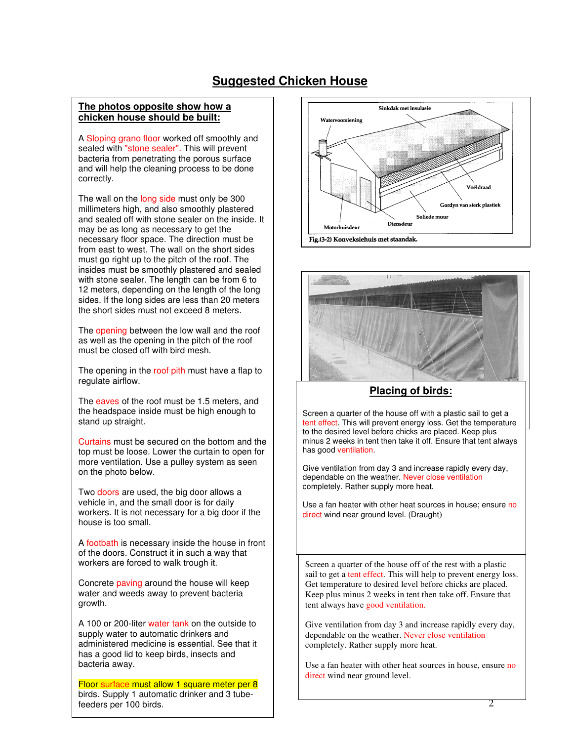### **Suggested Chicken House**

#### **The photos opposite show how a chicken house should be built:**

A Sloping grano floor worked off smoothly and sealed with "stone sealer". This will prevent bacteria from penetrating the porous surface and will help the cleaning process to be done correctly.

The wall on the long side must only be 300 millimeters high, and also smoothly plastered and sealed off with stone sealer on the inside. It may be as long as necessary to get the necessary floor space. The direction must be from east to west. The wall on the short sides must go right up to the pitch of the roof. The insides must be smoothly plastered and sealed with stone sealer. The length can be from 6 to 12 meters, depending on the length of the long sides. If the long sides are less than 20 meters the short sides must not exceed 8 meters.

The opening between the low wall and the roof as well as the opening in the pitch of the roof must be closed off with bird mesh.

The opening in the roof pith must have a flap to regulate airflow.

The eaves of the roof must be 1.5 meters, and the headspace inside must be high enough to stand up straight.

Curtains must be secured on the bottom and the top must be loose. Lower the curtain to open for more ventilation. Use a pulley system as seen on the photo below.

Two doors are used, the big door allows a vehicle in, and the small door is for daily workers. It is not necessary for a big door if the house is too small.

A footbath is necessary inside the house in front of the doors. Construct it in such a way that workers are forced to walk trough it.

Concrete paving around the house will keep water and weeds away to prevent bacteria growth.

A 100 or 200-liter water tank on the outside to supply water to automatic drinkers and administered medicine is essential. See that it has a good lid to keep birds, insects and bacteria away.

Floor surface must allow 1 square meter per 8 birds. Supply 1 automatic drinker and 3 tubefeeders per 100 birds.





#### **Placing of birds:**

Screen a quarter of the house off with a plastic sail to get a tent effect. This will prevent energy loss. Get the temperature to the desired level before chicks are placed. Keep plus minus 2 weeks in tent then take it off. Ensure that tent always has good ventilation.

Give ventilation from day 3 and increase rapidly every day, dependable on the weather. Never close ventilation completely. Rather supply more heat.

Use a fan heater with other heat sources in house; ensure no direct wind near ground level. (Draught)

Screen a quarter of the house off of the rest with a plastic sail to get a tent effect. This will help to prevent energy loss. Get temperature to desired level before chicks are placed. Keep plus minus 2 weeks in tent then take off. Ensure that tent always have good ventilation.

Give ventilation from day 3 and increase rapidly every day, dependable on the weather. Never close ventilation completely. Rather supply more heat.

Use a fan heater with other heat sources in house, ensure no direct wind near ground level.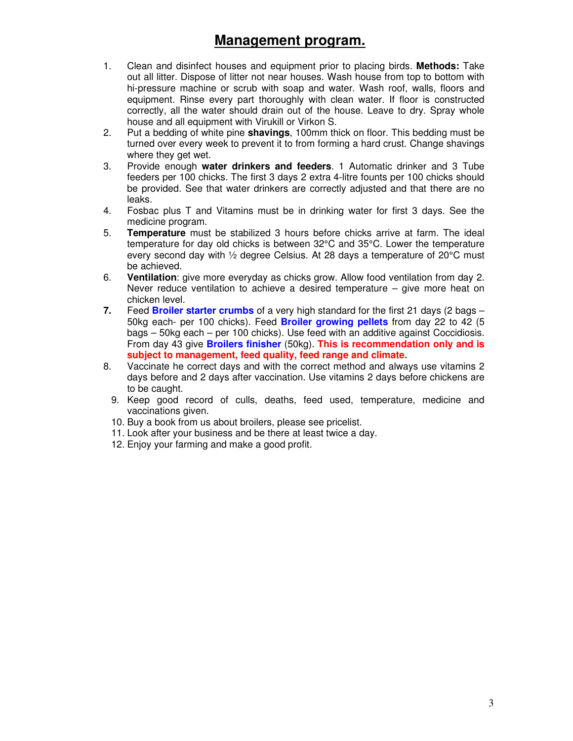# **Management program.**

- 1. Clean and disinfect houses and equipment prior to placing birds. **Methods:** Take out all litter. Dispose of litter not near houses. Wash house from top to bottom with hi-pressure machine or scrub with soap and water. Wash roof, walls, floors and equipment. Rinse every part thoroughly with clean water. If floor is constructed correctly, all the water should drain out of the house. Leave to dry. Spray whole house and all equipment with Virukill or Virkon S.
- 2. Put a bedding of white pine **shavings**, 100mm thick on floor. This bedding must be turned over every week to prevent it to from forming a hard crust. Change shavings where they get wet.
- 3. Provide enough **water drinkers and feeders**. 1 Automatic drinker and 3 Tube feeders per 100 chicks. The first 3 days 2 extra 4-litre founts per 100 chicks should be provided. See that water drinkers are correctly adjusted and that there are no leaks.
- 4. Fosbac plus T and Vitamins must be in drinking water for first 3 days. See the medicine program.
- 5. **Temperature** must be stabilized 3 hours before chicks arrive at farm. The ideal temperature for day old chicks is between 32°C and 35°C. Lower the temperature every second day with ½ degree Celsius. At 28 days a temperature of 20°C must be achieved.
- 6. **Ventilation**: give more everyday as chicks grow. Allow food ventilation from day 2. Never reduce ventilation to achieve a desired temperature – give more heat on chicken level.
- **7.** Feed **Broiler starter crumbs** of a very high standard for the first 21 days (2 bags 50kg each- per 100 chicks). Feed **Broiler growing pellets** from day 22 to 42 (5 bags – 50kg each – per 100 chicks). Use feed with an additive against Coccidiosis. From day 43 give **Broilers finisher** (50kg). **This is recommendation only and is subject to management, feed quality, feed range and climate.**
- 8. Vaccinate he correct days and with the correct method and always use vitamins 2 days before and 2 days after vaccination. Use vitamins 2 days before chickens are to be caught.
	- 9. Keep good record of culls, deaths, feed used, temperature, medicine and vaccinations given.
	- 10. Buy a book from us about broilers, please see pricelist.
	- 11. Look after your business and be there at least twice a day.
	- 12. Enjoy your farming and make a good profit.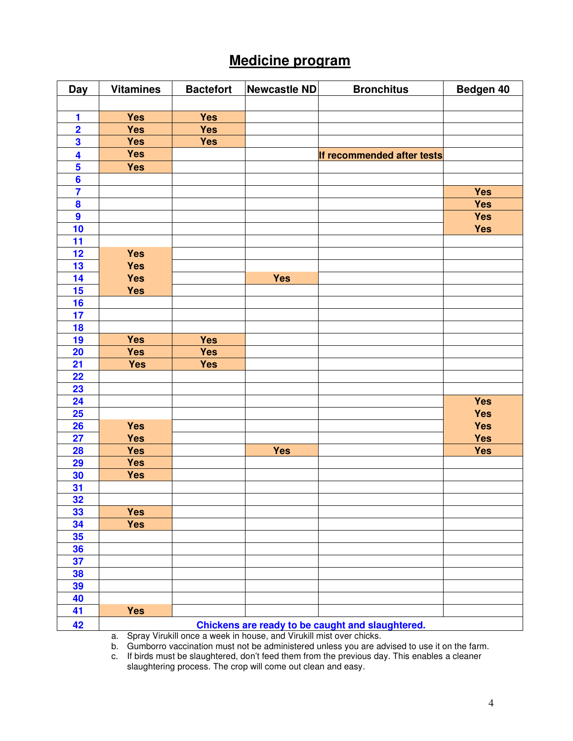# **Medicine program**

| <b>Day</b>              | <b>Vitamines</b> | <b>Bactefort</b> | Newcastle ND | <b>Bronchitus</b>                                | Bedgen 40  |
|-------------------------|------------------|------------------|--------------|--------------------------------------------------|------------|
|                         |                  |                  |              |                                                  |            |
| 1                       | <b>Yes</b>       | <b>Yes</b>       |              |                                                  |            |
| $\overline{\mathbf{2}}$ | <b>Yes</b>       | <b>Yes</b>       |              |                                                  |            |
| 3                       | <b>Yes</b>       | <b>Yes</b>       |              |                                                  |            |
| 4                       | <b>Yes</b>       |                  |              | If recommended after tests                       |            |
| $\overline{\mathbf{5}}$ | <b>Yes</b>       |                  |              |                                                  |            |
| $6\phantom{a}$          |                  |                  |              |                                                  |            |
| $\overline{7}$          |                  |                  |              |                                                  | <b>Yes</b> |
| $\boldsymbol{8}$        |                  |                  |              |                                                  | <b>Yes</b> |
| $\boldsymbol{9}$        |                  |                  |              |                                                  | <b>Yes</b> |
| 10                      |                  |                  |              |                                                  | <b>Yes</b> |
| 11                      |                  |                  |              |                                                  |            |
| 12                      | <b>Yes</b>       |                  |              |                                                  |            |
| 13                      | <b>Yes</b>       |                  |              |                                                  |            |
| 14                      | <b>Yes</b>       |                  | <b>Yes</b>   |                                                  |            |
| 15                      | <b>Yes</b>       |                  |              |                                                  |            |
| 16                      |                  |                  |              |                                                  |            |
| 17                      |                  |                  |              |                                                  |            |
| 18                      |                  |                  |              |                                                  |            |
| 19                      | <b>Yes</b>       | <b>Yes</b>       |              |                                                  |            |
| 20                      | <b>Yes</b>       | <b>Yes</b>       |              |                                                  |            |
| 21                      | <b>Yes</b>       | <b>Yes</b>       |              |                                                  |            |
| 22                      |                  |                  |              |                                                  |            |
| 23                      |                  |                  |              |                                                  |            |
| 24                      |                  |                  |              |                                                  | <b>Yes</b> |
| 25                      |                  |                  |              |                                                  | <b>Yes</b> |
| 26                      | <b>Yes</b>       |                  |              |                                                  | <b>Yes</b> |
| 27                      | <b>Yes</b>       |                  |              |                                                  | <b>Yes</b> |
| 28                      | <b>Yes</b>       |                  | <b>Yes</b>   |                                                  | <b>Yes</b> |
| 29                      | <b>Yes</b>       |                  |              |                                                  |            |
| 30                      | <b>Yes</b>       |                  |              |                                                  |            |
| 31                      |                  |                  |              |                                                  |            |
| 32                      |                  |                  |              |                                                  |            |
| 33                      | <b>Yes</b>       |                  |              |                                                  |            |
| 34                      | Yes              |                  |              |                                                  |            |
| 35                      |                  |                  |              |                                                  |            |
| 36                      |                  |                  |              |                                                  |            |
| 37                      |                  |                  |              |                                                  |            |
| 38                      |                  |                  |              |                                                  |            |
| 39                      |                  |                  |              |                                                  |            |
| 40                      |                  |                  |              |                                                  |            |
| 41                      | <b>Yes</b>       |                  |              |                                                  |            |
| 42                      |                  |                  |              | Chickens are ready to be caught and slaughtered. |            |

a. Spray Virukill once a week in house, and Virukill mist over chicks.<br>b. Gumborro vaccination must not be administered unless you are a b. Gumborro vaccination must not be administered unless you are advised to use it on the farm.

c. If birds must be slaughtered, don't feed them from the previous day. This enables a cleaner slaughtering process. The crop will come out clean and easy.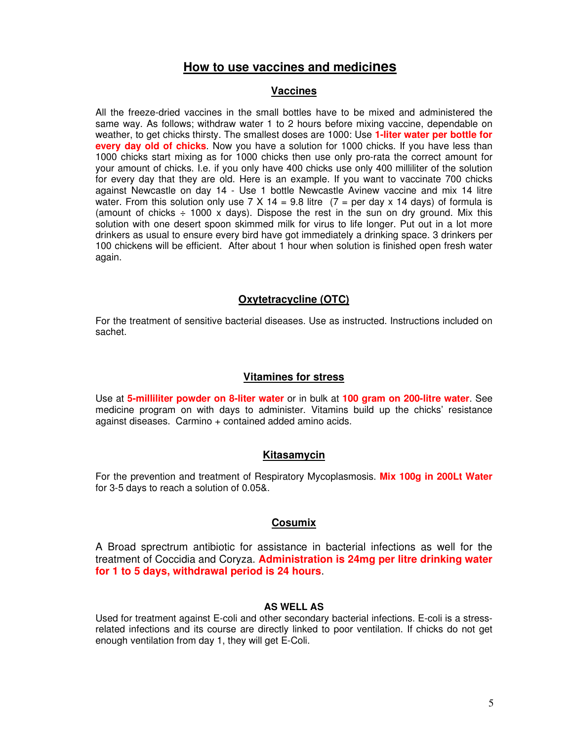#### **How to use vaccines and medicines**

#### **Vaccines**

All the freeze-dried vaccines in the small bottles have to be mixed and administered the same way. As follows; withdraw water 1 to 2 hours before mixing vaccine, dependable on weather, to get chicks thirsty. The smallest doses are 1000: Use **1-liter water per bottle for every day old of chicks**. Now you have a solution for 1000 chicks. If you have less than 1000 chicks start mixing as for 1000 chicks then use only pro-rata the correct amount for your amount of chicks. I.e. if you only have 400 chicks use only 400 milliliter of the solution for every day that they are old. Here is an example. If you want to vaccinate 700 chicks against Newcastle on day 14 - Use 1 bottle Newcastle Avinew vaccine and mix 14 litre water. From this solution only use 7 X 14 = 9.8 litre  $(7 = \text{per day x 14 days})$  of formula is (amount of chicks  $\div$  1000 x days). Dispose the rest in the sun on dry ground. Mix this solution with one desert spoon skimmed milk for virus to life longer. Put out in a lot more drinkers as usual to ensure every bird have got immediately a drinking space. 3 drinkers per 100 chickens will be efficient. After about 1 hour when solution is finished open fresh water again.

#### **Oxytetracycline (OTC)**

For the treatment of sensitive bacterial diseases. Use as instructed. Instructions included on sachet.

#### **Vitamines for stress**

Use at **5-milliliter powder on 8-liter water** or in bulk at **100 gram on 200-litre water**. See medicine program on with days to administer. Vitamins build up the chicks' resistance against diseases. Carmino + contained added amino acids.

#### **Kitasamycin**

For the prevention and treatment of Respiratory Mycoplasmosis. **Mix 100g in 200Lt Water** for 3-5 days to reach a solution of 0.05&.

#### **Cosumix**

A Broad sprectrum antibiotic for assistance in bacterial infections as well for the treatment of Coccidia and Coryza. **Administration is 24mg per litre drinking water for 1 to 5 days, withdrawal period is 24 hours**.

#### **AS WELL AS**

Used for treatment against E-coli and other secondary bacterial infections. E-coli is a stressrelated infections and its course are directly linked to poor ventilation. If chicks do not get enough ventilation from day 1, they will get E-Coli.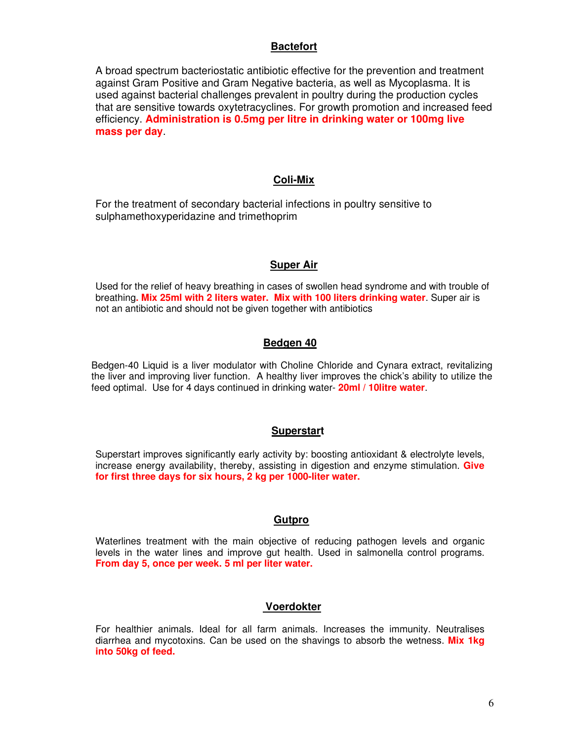#### **Bactefort**

A broad spectrum bacteriostatic antibiotic effective for the prevention and treatment against Gram Positive and Gram Negative bacteria, as well as Mycoplasma. It is used against bacterial challenges prevalent in poultry during the production cycles that are sensitive towards oxytetracyclines. For growth promotion and increased feed efficiency. **Administration is 0.5mg per litre in drinking water or 100mg live mass per day**.

#### **Coli-Mix**

For the treatment of secondary bacterial infections in poultry sensitive to sulphamethoxyperidazine and trimethoprim

#### **Super Air**

Used for the relief of heavy breathing in cases of swollen head syndrome and with trouble of breathing**. Mix 25ml with 2 liters water. Mix with 100 liters drinking water**. Super air is not an antibiotic and should not be given together with antibiotics

#### **Bedgen 40**

Bedgen-40 Liquid is a liver modulator with Choline Chloride and Cynara extract, revitalizing the liver and improving liver function. A healthy liver improves the chick's ability to utilize the feed optimal. Use for 4 days continued in drinking water- **20ml / 10litre water**.

#### **Superstart**

Superstart improves significantly early activity by: boosting antioxidant & electrolyte levels, increase energy availability, thereby, assisting in digestion and enzyme stimulation. **Give for first three days for six hours, 2 kg per 1000-liter water.** 

#### **Gutpro**

Waterlines treatment with the main objective of reducing pathogen levels and organic levels in the water lines and improve gut health. Used in salmonella control programs. **From day 5, once per week. 5 ml per liter water.** 

#### **Voerdokter**

For healthier animals. Ideal for all farm animals. Increases the immunity. Neutralises diarrhea and mycotoxins. Can be used on the shavings to absorb the wetness. **Mix 1kg into 50kg of feed.**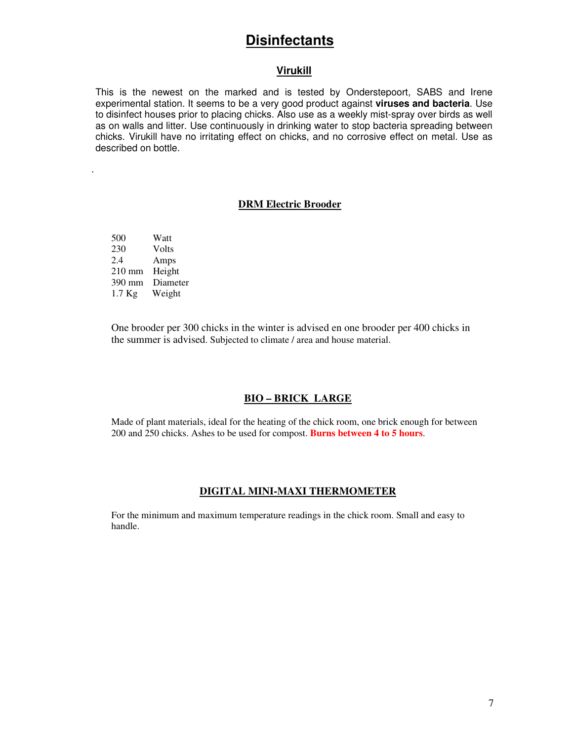### **Disinfectants**

#### **Virukill**

This is the newest on the marked and is tested by Onderstepoort, SABS and Irene experimental station. It seems to be a very good product against **viruses and bacteria**. Use to disinfect houses prior to placing chicks. Also use as a weekly mist-spray over birds as well as on walls and litter. Use continuously in drinking water to stop bacteria spreading between chicks. Virukill have no irritating effect on chicks, and no corrosive effect on metal. Use as described on bottle.

#### **DRM Electric Brooder**

500 Watt 230 Volts<br>2.4 Amps Amps 210 mm Height 390 mm Diameter 1.7 Kg Weight

.

One brooder per 300 chicks in the winter is advised en one brooder per 400 chicks in the summer is advised. Subjected to climate / area and house material.

#### **BIO – BRICK LARGE**

Made of plant materials, ideal for the heating of the chick room, one brick enough for between 200 and 250 chicks. Ashes to be used for compost. **Burns between 4 to 5 hours**.

#### **DIGITAL MINI-MAXI THERMOMETER**

For the minimum and maximum temperature readings in the chick room. Small and easy to handle.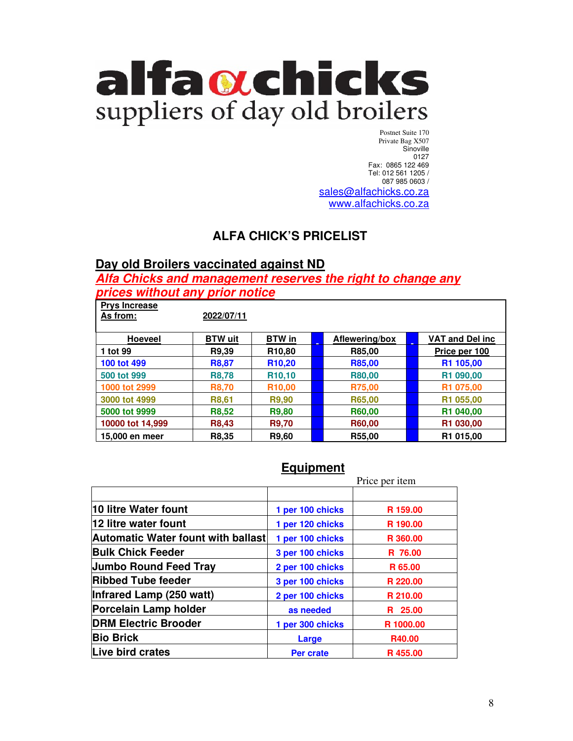

Postnet Suite 170 Private Bag X507 Sinoville 0127 Fax: 0865 122 469 Tel: 012 561 1205 / 087 985 0603 / sales@alfachicks.co.za www.alfachicks.co.za

### **ALFA CHICK'S PRICELIST**

### **Day old Broilers vaccinated against ND**

**Alfa Chicks and management reserves the right to change any prices without any prior notice**

| <b>Prys Increase</b><br>As from: | 2022/07/11     |                     |                |                        |
|----------------------------------|----------------|---------------------|----------------|------------------------|
| <b>Hoeveel</b>                   | <b>BTW</b> uit | <b>BTW</b> in       | Aflewering/box | <b>VAT and Del inc</b> |
| 1 tot 99                         | R9,39          | R <sub>10,80</sub>  | R85,00         | Price per 100          |
| 100 tot 499                      | <b>R8,87</b>   | R <sub>10</sub> ,20 | R85,00         | R <sub>1</sub> 105,00  |
| 500 tot 999                      | <b>R8,78</b>   | R <sub>10</sub> ,10 | R80,00         | R1 090,00              |
| 1000 tot 2999                    | <b>R8,70</b>   | R <sub>10,00</sub>  | R75,00         | R1 075,00              |
| 3000 tot 4999                    | R8,61          | R9,90               | R65,00         | R1 055,00              |
| 5000 tot 9999                    | <b>R8,52</b>   | R9,80               | R60,00         | R1 040,00              |
| 10000 tot 14,999                 | <b>R8,43</b>   | <b>R9,70</b>        | R60,00         | R1 030,00              |
| 15,000 en meer                   | R8.35          | R9.60               | R55,00         | R <sub>1</sub> 015,00  |

### **Equipment**

|                                           |                  | Price per item |
|-------------------------------------------|------------------|----------------|
|                                           |                  |                |
| 10 litre Water fount                      | 1 per 100 chicks | R 159.00       |
| 12 litre water fount                      | 1 per 120 chicks | R 190.00       |
| <b>Automatic Water fount with ballast</b> | 1 per 100 chicks | R 360,00       |
| <b>Bulk Chick Feeder</b>                  | 3 per 100 chicks | R 76.00        |
| <b>Jumbo Round Feed Tray</b>              | 2 per 100 chicks | R 65.00        |
| <b>Ribbed Tube feeder</b>                 | 3 per 100 chicks | R 220.00       |
| Infrared Lamp (250 watt)                  | 2 per 100 chicks | R 210.00       |
| Porcelain Lamp holder                     | as needed        | R 25.00        |
| <b>DRM Electric Brooder</b>               | 1 per 300 chicks | R 1000.00      |
| <b>Bio Brick</b>                          | Large            | R40.00         |
| Live bird crates                          | Per crate        | R455.00        |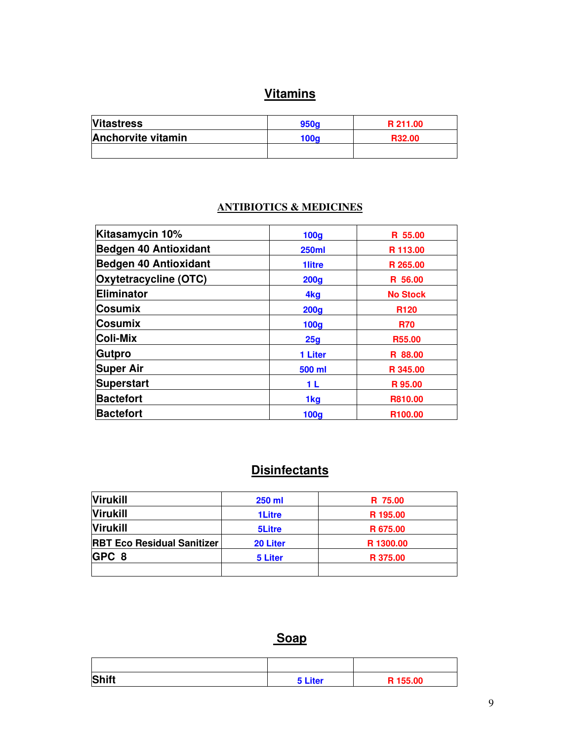# **Vitamins**

| <b>Vitastress</b>  | 950 <sub>o</sub> | R 211.00 |
|--------------------|------------------|----------|
| Anchorvite vitamin | 100a             | R32.00   |
|                    |                  |          |

### **ANTIBIOTICS & MEDICINES**

| Kitasamycin 10%              | 100 <sub>g</sub> | R 55.00             |
|------------------------------|------------------|---------------------|
| <b>Bedgen 40 Antioxidant</b> | <b>250ml</b>     | R 113.00            |
| <b>Bedgen 40 Antioxidant</b> | <b>1litre</b>    | R 265.00            |
| <b>Oxytetracycline (OTC)</b> | 200 <sub>g</sub> | R 56.00             |
| Eliminator                   | 4 <sub>kg</sub>  | <b>No Stock</b>     |
| <b>Cosumix</b>               | 200 <sub>q</sub> | R <sub>120</sub>    |
| <b>Cosumix</b>               | <b>100g</b>      | <b>R70</b>          |
| <b>Coli-Mix</b>              | 25g              | R55.00              |
| Gutpro                       | 1 Liter          | R 88.00             |
| <b>Super Air</b>             | 500 ml           | R 345.00            |
| <b>Superstart</b>            | 1 L              | R 95.00             |
| <b>Bactefort</b>             | 1kg              | R810.00             |
| <b>Bactefort</b>             | 100 <sub>g</sub> | R <sub>100.00</sub> |

# **Disinfectants**

| <b>Virukill</b>                   | <b>250 ml</b> | R 75.00   |
|-----------------------------------|---------------|-----------|
| <b>Virukill</b>                   | <b>1Litre</b> | R 195.00  |
| <b>Virukill</b>                   | <b>5Litre</b> | R 675.00  |
| <b>RBT Eco Residual Sanitizer</b> | 20 Liter      | R 1300.00 |
| GPC 8                             | 5 Liter       | R 375.00  |
|                                   |               |           |

### **Soap**

| <b>Shift</b> | 5 Liter | R 155.00 |
|--------------|---------|----------|